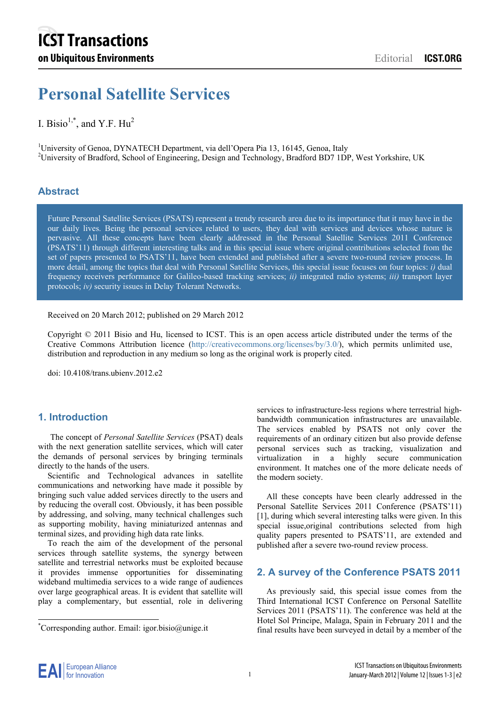# **Personal Satellite Services**

# I. Bisio<sup>1,\*</sup>, and Y.F.  $Hu^2$

<sup>1</sup>University of Genoa, DYNATECH Department, via dell'Opera Pia 13, 16145, Genoa, Italy <sup>2</sup>University of Bradford, School of Engineering, Design and Technology, Bradford BD7 1DP, West Yorkshire, UK

# **Abstract**

Future Personal Satellite Services (PSATS) represent a trendy research area due to its importance that it may have in the our daily lives. Being the personal services related to users, they deal with services and devices whose nature is pervasive. All these concepts have been clearly addressed in the Personal Satellite Services 2011 Conference (PSATS'11) through different interesting talks and in this special issue where original contributions selected from the set of papers presented to PSATS'11, have been extended and published after a severe two-round review process. In more detail, among the topics that deal with Personal Satellite Services, this special issue focuses on four topics: *i)* dual frequency receivers performance for Galileo-based tracking services; *ii)* integrated radio systems; *iii)* transport layer protocols; *iv)* security issues in Delay Tolerant Networks.

Received on 20 March 2012; published on 29 March 2012

Copyright © 2011 Bisio and Hu, licensed to ICST. This is an open access article distributed under the terms of the Creative Commons Attribution licence (http://creativecommons.org/licenses/by/3.0/), which permits unlimited use, distribution and reproduction in any medium so long as the original work is properly cited.

doi: 10.4108/trans.ubienv.2012.e2

## **1. Introduction**

The concept of *Personal Satellite Services* (PSAT) deals with the next generation satellite services, which will cater the demands of personal services by bringing terminals directly to the hands of the users.

Scientific and Technological advances in satellite communications and networking have made it possible by bringing such value added services directly to the users and by reducing the overall cost. Obviously, it has been possible by addressing, and solving, many technical challenges such as supporting mobility, having miniaturized antennas and terminal sizes, and providing high data rate links.

To reach the aim of the development of the personal services through satellite systems, the synergy between satellite and terrestrial networks must be exploited because it provides immense opportunities for disseminating wideband multimedia services to a wide range of audiences over large geographical areas. It is evident that satellite will play a complementary, but essential, role in delivering

services to infrastructure-less regions where terrestrial highbandwidth communication infrastructures are unavailable. The services enabled by PSATS not only cover the requirements of an ordinary citizen but also provide defense personal services such as tracking, visualization and virtualization in a highly secure communication environment. It matches one of the more delicate needs of the modern society.

All these concepts have been clearly addressed in the Personal Satellite Services 2011 Conference (PSATS'11) [1], during which several interesting talks were given. In this special issue,original contributions selected from high quality papers presented to PSATS'11, are extended and published after a severe two-round review process.

#### **2. A survey of the Conference PSATS 2011**

As previously said, this special issue comes from the Third International ICST Conference on Personal Satellite Services 2011 (PSATS'11). The conference was held at the Hotel Sol Principe, Malaga, Spain in February 2011 and the final results have been surveyed in detail by a member of the

-

<sup>\*</sup> Corresponding author. Email: igor.bisio@unige.it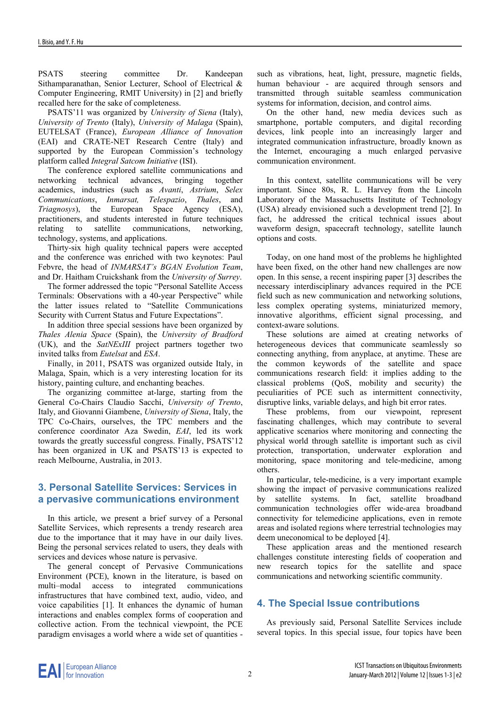PSATS steering committee Dr. Kandeepan Sithamparanathan, Senior Lecturer, School of Electrical & Computer Engineering, RMIT University) in [2] and briefly recalled here for the sake of completeness.

PSATS'11 was organized by *University of Siena* (Italy), *University of Trento* (Italy), *University of Malaga* (Spain), EUTELSAT (France), *European Alliance of Innovation* (EAI) and CRATE-NET Research Centre (Italy) and supported by the European Commission's technology platform called *Integral Satcom Initiative* (ISI).

The conference explored satellite communications and networking technical advances, bringing together academics, industries (such as *Avanti*, *Astrium*, *Selex Communications*, *Inmarsat, Telespazio*, *Thales*, and *Triagnosys*), the European Space Agency (ESA), practitioners, and students interested in future techniques relating to satellite communications, networking, technology, systems, and applications.

Thirty-six high quality technical papers were accepted and the conference was enriched with two keynotes: Paul Febvre, the head of *INMARSAT's BGAN Evolution Team*, and Dr. Haitham Cruickshank from the *University of Surrey*.

The former addressed the topic "Personal Satellite Access Terminals: Observations with a 40-year Perspective" while the latter issues related to "Satellite Communications Security with Current Status and Future Expectations".

In addition three special sessions have been organized by *Thales Alenia Space* (Spain), the *University of Bradford* (UK), and the *SatNExIII* project partners together two invited talks from *Eutelsat* and *ESA*.

Finally, in 2011, PSATS was organized outside Italy, in Malaga, Spain, which is a very interesting location for its history, painting culture, and enchanting beaches.

The organizing committee at-large, starting from the General Co-Chairs Claudio Sacchi, *University of Trento*, Italy, and Giovanni Giambene, *University of Siena*, Italy, the TPC Co-Chairs, ourselves, the TPC members and the conference coordinator Aza Swedin, *EAI*, led its work towards the greatly successful congress. Finally, PSATS'12 has been organized in UK and PSATS'13 is expected to reach Melbourne, Australia, in 2013.

## **3. Personal Satellite Services: Services in a pervasive communications environment**

In this article, we present a brief survey of a Personal Satellite Services, which represents a trendy research area due to the importance that it may have in our daily lives. Being the personal services related to users, they deals with services and devices whose nature is pervasive.

The general concept of Pervasive Communications Environment (PCE), known in the literature, is based on multi–modal access to integrated communications infrastructures that have combined text, audio, video, and voice capabilities [1]. It enhances the dynamic of human interactions and enables complex forms of cooperation and collective action. From the technical viewpoint, the PCE paradigm envisages a world where a wide set of quantities -

such as vibrations, heat, light, pressure, magnetic fields, human behaviour - are acquired through sensors and transmitted through suitable seamless communication systems for information, decision, and control aims.

On the other hand, new media devices such as smartphone, portable computers, and digital recording devices, link people into an increasingly larger and integrated communication infrastructure, broadly known as the Internet, encouraging a much enlarged pervasive communication environment.

In this context, satellite communications will be very important. Since 80s, R. L. Harvey from the Lincoln Laboratory of the Massachusetts Institute of Technology (USA) already envisioned such a development trend [2]. In fact, he addressed the critical technical issues about waveform design, spacecraft technology, satellite launch options and costs.

Today, on one hand most of the problems he highlighted have been fixed, on the other hand new challenges are now open. In this sense, a recent inspiring paper [3] describes the necessary interdisciplinary advances required in the PCE field such as new communication and networking solutions, less complex operating systems, miniaturized memory, innovative algorithms, efficient signal processing, and context-aware solutions.

These solutions are aimed at creating networks of heterogeneous devices that communicate seamlessly so connecting anything, from anyplace, at anytime. These are the common keywords of the satellite and space communications research field: it implies adding to the classical problems (QoS, mobility and security) the peculiarities of PCE such as intermittent connectivity, disruptive links, variable delays, and high bit error rates.

These problems, from our viewpoint, represent fascinating challenges, which may contribute to several applicative scenarios where monitoring and connecting the physical world through satellite is important such as civil protection, transportation, underwater exploration and monitoring, space monitoring and tele-medicine, among others.

In particular, tele-medicine, is a very important example showing the impact of pervasive communications realized by satellite systems. In fact, satellite broadband communication technologies offer wide-area broadband connectivity for telemedicine applications, even in remote areas and isolated regions where terrestrial technologies may deem uneconomical to be deployed [4].

These application areas and the mentioned research challenges constitute interesting fields of cooperation and new research topics for the satellite and space communications and networking scientific community.

# **4. The Special Issue contributions**

As previously said, Personal Satellite Services include several topics. In this special issue, four topics have been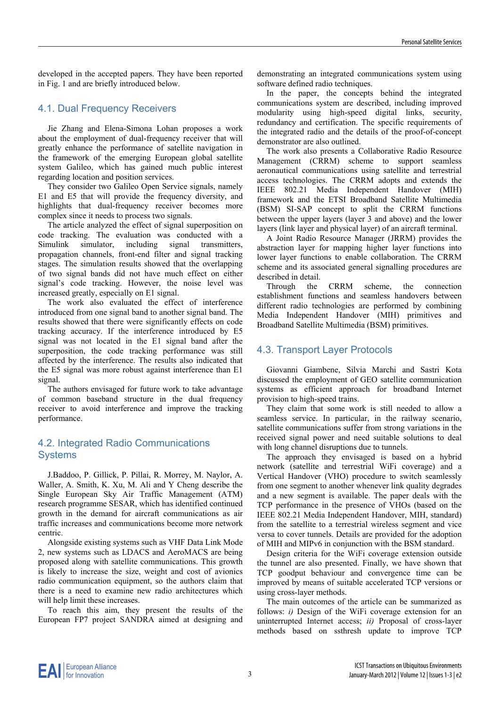developed in the accepted papers. They have been reported in Fig. 1 and are briefly introduced below.

#### 4.1. Dual Frequency Receivers

Jie Zhang and Elena-Simona Lohan proposes a work about the employment of dual-frequency receiver that will greatly enhance the performance of satellite navigation in the framework of the emerging European global satellite system Galileo, which has gained much public interest regarding location and position services.

They consider two Galileo Open Service signals, namely E1 and E5 that will provide the frequency diversity, and highlights that dual-frequency receiver becomes more complex since it needs to process two signals.

The article analyzed the effect of signal superposition on code tracking. The evaluation was conducted with a Simulink simulator, including signal transmitters, propagation channels, front-end filter and signal tracking stages. The simulation results showed that the overlapping of two signal bands did not have much effect on either signal's code tracking. However, the noise level was increased greatly, especially on E1 signal.

The work also evaluated the effect of interference introduced from one signal band to another signal band. The results showed that there were significantly effects on code tracking accuracy. If the interference introduced by E5 signal was not located in the E1 signal band after the superposition, the code tracking performance was still affected by the interference. The results also indicated that the E5 signal was more robust against interference than E1 signal.

The authors envisaged for future work to take advantage of common baseband structure in the dual frequency receiver to avoid interference and improve the tracking performance.

## 4.2. Integrated Radio Communications **Systems**

J.Baddoo, P. Gillick, P. Pillai, R. Morrey, M. Naylor, A. Waller, A. Smith, K. Xu, M. Ali and Y Cheng describe the Single European Sky Air Traffic Management (ATM) research programme SESAR, which has identified continued growth in the demand for aircraft communications as air traffic increases and communications become more network centric.

Alongside existing systems such as VHF Data Link Mode 2, new systems such as LDACS and AeroMACS are being proposed along with satellite communications. This growth is likely to increase the size, weight and cost of avionics radio communication equipment, so the authors claim that there is a need to examine new radio architectures which will help limit these increases.

To reach this aim, they present the results of the European FP7 project SANDRA aimed at designing and demonstrating an integrated communications system using software defined radio techniques.

In the paper, the concepts behind the integrated communications system are described, including improved modularity using high-speed digital links, security, redundancy and certification. The specific requirements of the integrated radio and the details of the proof-of-concept demonstrator are also outlined.

The work also presents a Collaborative Radio Resource Management (CRRM) scheme to support seamless aeronautical communications using satellite and terrestrial access technologies. The CRRM adopts and extends the IEEE 802.21 Media Independent Handover (MIH) framework and the ETSI Broadband Satellite Multimedia (BSM) SI-SAP concept to split the CRRM functions between the upper layers (layer 3 and above) and the lower layers (link layer and physical layer) of an aircraft terminal.

A Joint Radio Resource Manager (JRRM) provides the abstraction layer for mapping higher layer functions into lower layer functions to enable collaboration. The CRRM scheme and its associated general signalling procedures are described in detail.

Through the CRRM scheme, the connection establishment functions and seamless handovers between different radio technologies are performed by combining Media Independent Handover (MIH) primitives and Broadband Satellite Multimedia (BSM) primitives.

# 4.3. Transport Layer Protocols

Giovanni Giambene, Silvia Marchi and Sastri Kota discussed the employment of GEO satellite communication systems as efficient approach for broadband Internet provision to high-speed trains.

They claim that some work is still needed to allow a seamless service. In particular, in the railway scenario, satellite communications suffer from strong variations in the received signal power and need suitable solutions to deal with long channel disruptions due to tunnels.

The approach they envisaged is based on a hybrid network (satellite and terrestrial WiFi coverage) and a Vertical Handover (VHO) procedure to switch seamlessly from one segment to another whenever link quality degrades and a new segment is available. The paper deals with the TCP performance in the presence of VHOs (based on the IEEE 802.21 Media Independent Handover, MIH, standard) from the satellite to a terrestrial wireless segment and vice versa to cover tunnels. Details are provided for the adoption of MIH and MIPv6 in conjunction with the BSM standard.

Design criteria for the WiFi coverage extension outside the tunnel are also presented. Finally, we have shown that TCP goodput behaviour and convergence time can be improved by means of suitable accelerated TCP versions or using cross-layer methods.

The main outcomes of the article can be summarized as follows: *i*) Design of the WiFi coverage extension for an uninterrupted Internet access; *ii)* Proposal of cross-layer methods based on ssthresh update to improve TCP